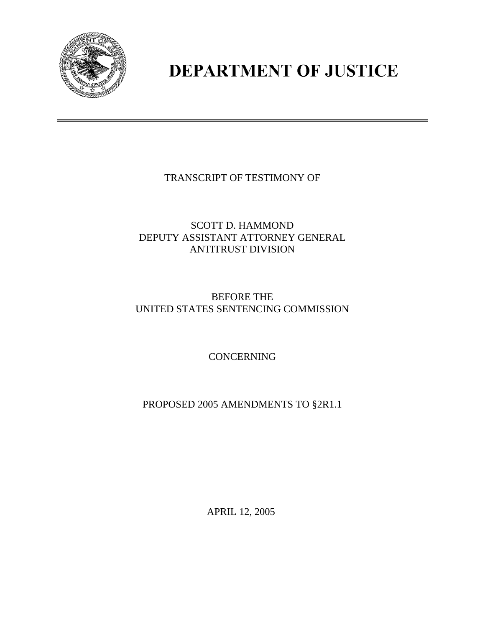

## **DEPARTMENT OF JUSTICE**

TRANSCRIPT OF TESTIMONY OF

SCOTT D. HAMMOND DEPUTY ASSISTANT ATTORNEY GENERAL ANTITRUST DIVISION

## BEFORE THE UNITED STATES SENTENCING COMMISSION

**CONCERNING** 

PROPOSED 2005 AMENDMENTS TO §2R1.1

APRIL 12, 2005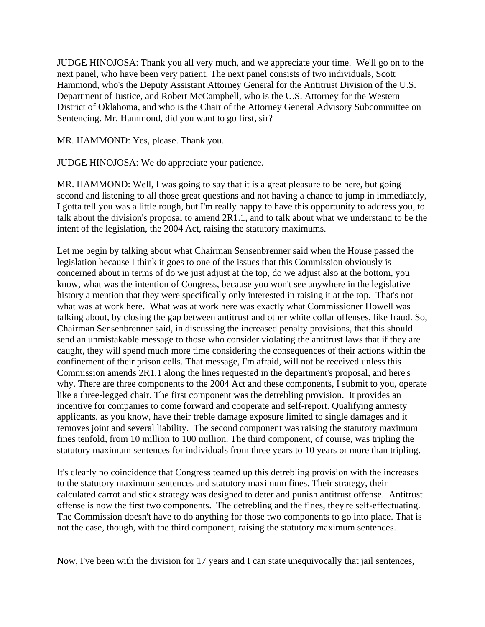JUDGE HINOJOSA: Thank you all very much, and we appreciate your time. We'll go on to the next panel, who have been very patient. The next panel consists of two individuals, Scott Hammond, who's the Deputy Assistant Attorney General for the Antitrust Division of the U.S. Department of Justice, and Robert McCampbell, who is the U.S. Attorney for the Western District of Oklahoma, and who is the Chair of the Attorney General Advisory Subcommittee on Sentencing. Mr. Hammond, did you want to go first, sir?

MR. HAMMOND: Yes, please. Thank you.

JUDGE HINOJOSA: We do appreciate your patience.

MR. HAMMOND: Well, I was going to say that it is a great pleasure to be here, but going second and listening to all those great questions and not having a chance to jump in immediately, I gotta tell you was a little rough, but I'm really happy to have this opportunity to address you, to talk about the division's proposal to amend 2R1.1, and to talk about what we understand to be the intent of the legislation, the 2004 Act, raising the statutory maximums.

Let me begin by talking about what Chairman Sensenbrenner said when the House passed the legislation because I think it goes to one of the issues that this Commission obviously is concerned about in terms of do we just adjust at the top, do we adjust also at the bottom, you know, what was the intention of Congress, because you won't see anywhere in the legislative history a mention that they were specifically only interested in raising it at the top. That's not what was at work here. What was at work here was exactly what Commissioner Howell was talking about, by closing the gap between antitrust and other white collar offenses, like fraud. So, Chairman Sensenbrenner said, in discussing the increased penalty provisions, that this should send an unmistakable message to those who consider violating the antitrust laws that if they are caught, they will spend much more time considering the consequences of their actions within the confinement of their prison cells. That message, I'm afraid, will not be received unless this Commission amends 2R1.1 along the lines requested in the department's proposal, and here's why. There are three components to the 2004 Act and these components, I submit to you, operate like a three-legged chair. The first component was the detrebling provision. It provides an incentive for companies to come forward and cooperate and self-report. Qualifying amnesty applicants, as you know, have their treble damage exposure limited to single damages and it removes joint and several liability. The second component was raising the statutory maximum fines tenfold, from 10 million to 100 million. The third component, of course, was tripling the statutory maximum sentences for individuals from three years to 10 years or more than tripling.

It's clearly no coincidence that Congress teamed up this detrebling provision with the increases to the statutory maximum sentences and statutory maximum fines. Their strategy, their calculated carrot and stick strategy was designed to deter and punish antitrust offense. Antitrust offense is now the first two components. The detrebling and the fines, they're self-effectuating. The Commission doesn't have to do anything for those two components to go into place. That is not the case, though, with the third component, raising the statutory maximum sentences.

Now, I've been with the division for 17 years and I can state unequivocally that jail sentences,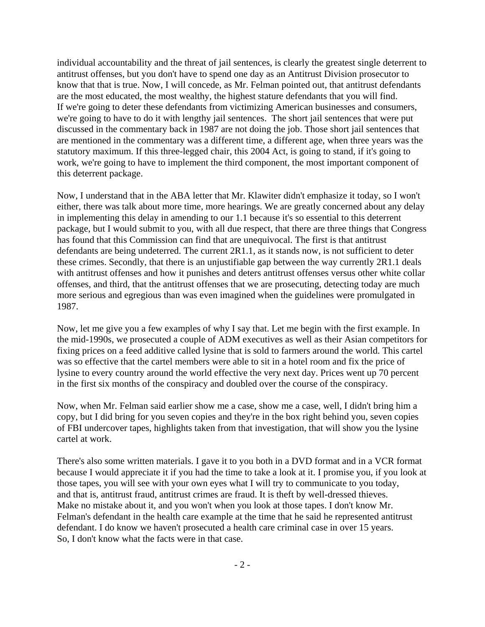individual accountability and the threat of jail sentences, is clearly the greatest single deterrent to antitrust offenses, but you don't have to spend one day as an Antitrust Division prosecutor to know that that is true. Now, I will concede, as Mr. Felman pointed out, that antitrust defendants are the most educated, the most wealthy, the highest stature defendants that you will find. If we're going to deter these defendants from victimizing American businesses and consumers, we're going to have to do it with lengthy jail sentences. The short jail sentences that were put discussed in the commentary back in 1987 are not doing the job. Those short jail sentences that are mentioned in the commentary was a different time, a different age, when three years was the statutory maximum. If this three-legged chair, this 2004 Act, is going to stand, if it's going to work, we're going to have to implement the third component, the most important component of this deterrent package.

Now, I understand that in the ABA letter that Mr. Klawiter didn't emphasize it today, so I won't either, there was talk about more time, more hearings. We are greatly concerned about any delay in implementing this delay in amending to our 1.1 because it's so essential to this deterrent package, but I would submit to you, with all due respect, that there are three things that Congress has found that this Commission can find that are unequivocal. The first is that antitrust defendants are being undeterred. The current 2R1.1, as it stands now, is not sufficient to deter these crimes. Secondly, that there is an unjustifiable gap between the way currently 2R1.1 deals with antitrust offenses and how it punishes and deters antitrust offenses versus other white collar offenses, and third, that the antitrust offenses that we are prosecuting, detecting today are much more serious and egregious than was even imagined when the guidelines were promulgated in 1987.

Now, let me give you a few examples of why I say that. Let me begin with the first example. In the mid-1990s, we prosecuted a couple of ADM executives as well as their Asian competitors for fixing prices on a feed additive called lysine that is sold to farmers around the world. This cartel was so effective that the cartel members were able to sit in a hotel room and fix the price of lysine to every country around the world effective the very next day. Prices went up 70 percent in the first six months of the conspiracy and doubled over the course of the conspiracy.

Now, when Mr. Felman said earlier show me a case, show me a case, well, I didn't bring him a copy, but I did bring for you seven copies and they're in the box right behind you, seven copies of FBI undercover tapes, highlights taken from that investigation, that will show you the lysine cartel at work.

There's also some written materials. I gave it to you both in a DVD format and in a VCR format because I would appreciate it if you had the time to take a look at it. I promise you, if you look at those tapes, you will see with your own eyes what I will try to communicate to you today, and that is, antitrust fraud, antitrust crimes are fraud. It is theft by well-dressed thieves. Make no mistake about it, and you won't when you look at those tapes. I don't know Mr. Felman's defendant in the health care example at the time that he said he represented antitrust defendant. I do know we haven't prosecuted a health care criminal case in over 15 years. So, I don't know what the facts were in that case.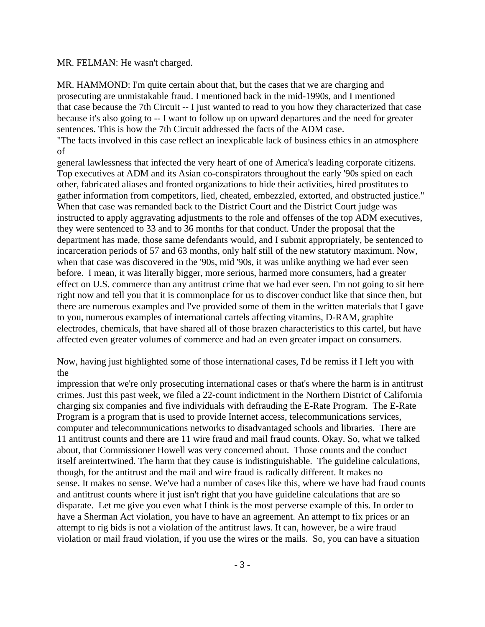MR. FELMAN: He wasn't charged.

MR. HAMMOND: I'm quite certain about that, but the cases that we are charging and prosecuting are unmistakable fraud. I mentioned back in the mid-1990s, and I mentioned that case because the 7th Circuit -- I just wanted to read to you how they characterized that case because it's also going to -- I want to follow up on upward departures and the need for greater sentences. This is how the 7th Circuit addressed the facts of the ADM case. "The facts involved in this case reflect an inexplicable lack of business ethics in an atmosphere

of

general lawlessness that infected the very heart of one of America's leading corporate citizens. Top executives at ADM and its Asian co-conspirators throughout the early '90s spied on each other, fabricated aliases and fronted organizations to hide their activities, hired prostitutes to gather information from competitors, lied, cheated, embezzled, extorted, and obstructed justice." When that case was remanded back to the District Court and the District Court judge was instructed to apply aggravating adjustments to the role and offenses of the top ADM executives, they were sentenced to 33 and to 36 months for that conduct. Under the proposal that the department has made, those same defendants would, and I submit appropriately, be sentenced to incarceration periods of 57 and 63 months, only half still of the new statutory maximum. Now, when that case was discovered in the '90s, mid '90s, it was unlike anything we had ever seen before. I mean, it was literally bigger, more serious, harmed more consumers, had a greater effect on U.S. commerce than any antitrust crime that we had ever seen. I'm not going to sit here right now and tell you that it is commonplace for us to discover conduct like that since then, but there are numerous examples and I've provided some of them in the written materials that I gave to you, numerous examples of international cartels affecting vitamins, D-RAM, graphite electrodes, chemicals, that have shared all of those brazen characteristics to this cartel, but have affected even greater volumes of commerce and had an even greater impact on consumers.

Now, having just highlighted some of those international cases, I'd be remiss if I left you with the

impression that we're only prosecuting international cases or that's where the harm is in antitrust crimes. Just this past week, we filed a 22-count indictment in the Northern District of California charging six companies and five individuals with defrauding the E-Rate Program. The E-Rate Program is a program that is used to provide Internet access, telecommunications services, computer and telecommunications networks to disadvantaged schools and libraries. There are 11 antitrust counts and there are 11 wire fraud and mail fraud counts. Okay. So, what we talked about, that Commissioner Howell was very concerned about. Those counts and the conduct itself areintertwined. The harm that they cause is indistinguishable. The guideline calculations, though, for the antitrust and the mail and wire fraud is radically different. It makes no sense. It makes no sense. We've had a number of cases like this, where we have had fraud counts and antitrust counts where it just isn't right that you have guideline calculations that are so disparate. Let me give you even what I think is the most perverse example of this. In order to have a Sherman Act violation, you have to have an agreement. An attempt to fix prices or an attempt to rig bids is not a violation of the antitrust laws. It can, however, be a wire fraud violation or mail fraud violation, if you use the wires or the mails. So, you can have a situation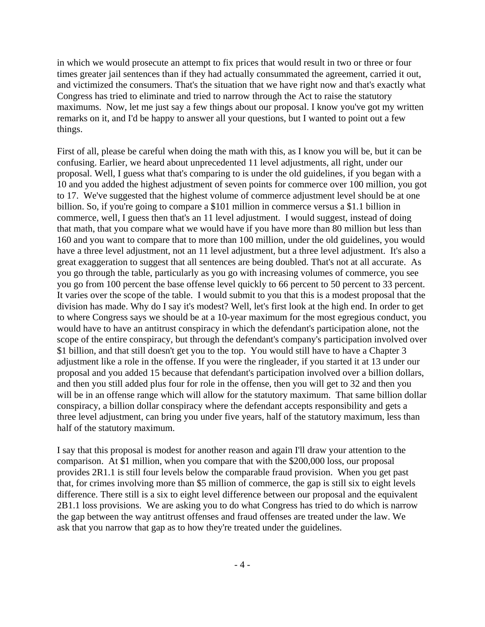in which we would prosecute an attempt to fix prices that would result in two or three or four times greater jail sentences than if they had actually consummated the agreement, carried it out, and victimized the consumers. That's the situation that we have right now and that's exactly what Congress has tried to eliminate and tried to narrow through the Act to raise the statutory maximums. Now, let me just say a few things about our proposal. I know you've got my written remarks on it, and I'd be happy to answer all your questions, but I wanted to point out a few things.

First of all, please be careful when doing the math with this, as I know you will be, but it can be confusing. Earlier, we heard about unprecedented 11 level adjustments, all right, under our proposal. Well, I guess what that's comparing to is under the old guidelines, if you began with a 10 and you added the highest adjustment of seven points for commerce over 100 million, you got to 17. We've suggested that the highest volume of commerce adjustment level should be at one billion. So, if you're going to compare a \$101 million in commerce versus a \$1.1 billion in commerce, well, I guess then that's an 11 level adjustment. I would suggest, instead of doing that math, that you compare what we would have if you have more than 80 million but less than 160 and you want to compare that to more than 100 million, under the old guidelines, you would have a three level adjustment, not an 11 level adjustment, but a three level adjustment. It's also a great exaggeration to suggest that all sentences are being doubled. That's not at all accurate. As you go through the table, particularly as you go with increasing volumes of commerce, you see you go from 100 percent the base offense level quickly to 66 percent to 50 percent to 33 percent. It varies over the scope of the table. I would submit to you that this is a modest proposal that the division has made. Why do I say it's modest? Well, let's first look at the high end. In order to get to where Congress says we should be at a 10-year maximum for the most egregious conduct, you would have to have an antitrust conspiracy in which the defendant's participation alone, not the scope of the entire conspiracy, but through the defendant's company's participation involved over \$1 billion, and that still doesn't get you to the top. You would still have to have a Chapter 3 adjustment like a role in the offense. If you were the ringleader, if you started it at 13 under our proposal and you added 15 because that defendant's participation involved over a billion dollars, and then you still added plus four for role in the offense, then you will get to 32 and then you will be in an offense range which will allow for the statutory maximum. That same billion dollar conspiracy, a billion dollar conspiracy where the defendant accepts responsibility and gets a three level adjustment, can bring you under five years, half of the statutory maximum, less than half of the statutory maximum.

I say that this proposal is modest for another reason and again I'll draw your attention to the comparison. At \$1 million, when you compare that with the \$200,000 loss, our proposal provides 2R1.1 is still four levels below the comparable fraud provision. When you get past that, for crimes involving more than \$5 million of commerce, the gap is still six to eight levels difference. There still is a six to eight level difference between our proposal and the equivalent 2B1.1 loss provisions. We are asking you to do what Congress has tried to do which is narrow the gap between the way antitrust offenses and fraud offenses are treated under the law. We ask that you narrow that gap as to how they're treated under the guidelines.